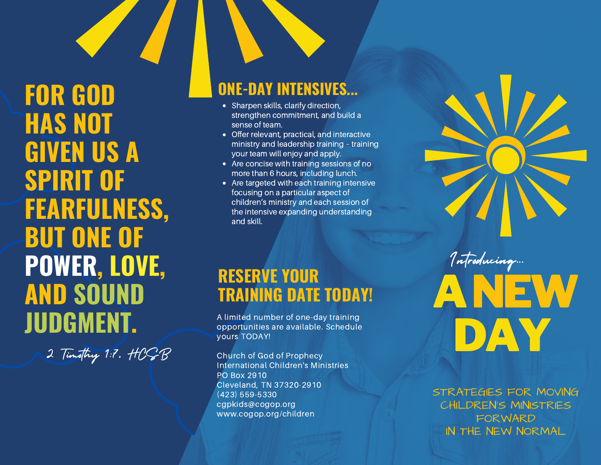**FOR GOD HAS NOT GIVEN US A SPIRIT OF FEARFULNESS, BUT ONE OF POWER, LOVE, AND SOUND JUDGMENT.**

2 Timothy 1:7, HOGB

### **ONE-DAY INTENSIVES...**

- Sharpen skills, clarify direction, strengthen commitment, and build a sense of team.
- Offer relevant, practical, and interactive ministry and leadership training – training your team will enjoy and apply.
- Are concise with training sessions of no more than 6 hours, including lunch.
- Are targeted with each training intensive focusing on a particular aspect of children's ministry and each session of the intensive expanding understanding and skill.

## **RESERVE YOUR TRAINING DATE TODAY!**

A limited number of one-day training opportunities are available. Schedule yours TODAY!

Church of God of Prophecy International Children's Ministries PO Box 2910 Cleveland, TN 37320-2910 (423) 559-5330 cgpkids@cogop.org www.cogop.org/children

STRATEGIES FOR MOVING CHILDREN'S MINISTRIES **FORWARD** IN THE NEW NORMAL

ANEW

Introducing...

DAY